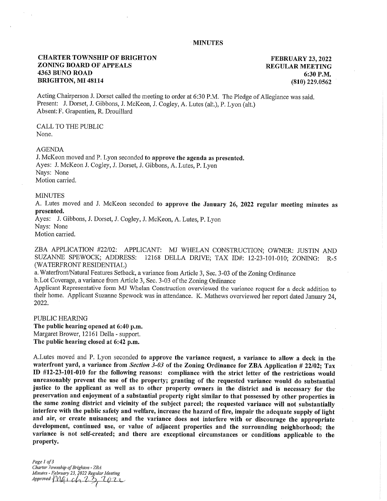## **MINUTES**

# CHARTER TOWNSHIP OF BRIGHTON ZONING BOARD OF APPEALS 4363 BUNO ROAD BRIGHTON, MI 48114

FEBRUARY 23, 2022 REGULAR MEETING 6:30 P.M. (810) 229.0562

Acting Chairperson J. Dorset called the meeting to order at 6:30 P.M. The Pledge of Allegiance was said. Present: J. Dorset, J. Gibbons, J. McKeon, J. Cogley, A. Lutes (alt.), P. Lyon (alt.) Absent: F. Grapentien, R. Drouillard

CALL TO THE PUBLIC None.

### AGENDA

J. McKeon moved and P. Lyon seconded to approve the agenda as presented. Ayes: J. McKeon J. Cogley, J. Dorset, J. Gibbons, A. Lutes, P. Lyon Nays: None Motion carried.

#### MINUTES

A. Lutes moved and J. McKeon seconded to approve the January 26, 2022 regular meeting minutes as presented.

Ayes: J. Gibbons, J. Dorset, J. Cogley, J. McKeon, A. Lutes, P. Lyon Nays: None Motion carried.

ZBA APPLICATION #22/02: APPLICANT: MJ WHELAN CONSTRUCTION; OWNER: JUSTIN AND SUZANNE SPEWOCK; ADDRESS: 12168 DELLA DRIVE; TAX ID#: 12-23-101-010; ZONING: R-5 (WATERFRONT RESIDENTIAL)

a. Waterfront/Natural Features Setback, a variance from Article 3, Sec. 3-03 of the Zoning Ordinance

b.Lot Coverage, a variance from Article 3, Sec. 3-03 of the Zoning Ordinance

Applicant Representative form MJ Whelan Construction overviewed the variance request for a deck addition to their home. Applicant Suzanne Spewock was in attendance. K. Mathews overviewed her report dated January 24, 2022.

PUBLIC HEARING The public hearing opened at 6:40 p.m. Margaret Brower, 12161 Della - support. The public hearing closed at 6:42 p.m.

A.Lutes moved and P. Lyon seconded to approve the variance request, a variance to allow a deck in the waterfront yard, a variance from *Section 3-03* of the Zoning Ordinance for ZBA Application # 22/02; Tax ID #12-23-101-010 for the following reasons: compliance with the strict letter of the restrictions would unreasonably prevent the use of the property; granting of the requested variance would do substantial justice to the applicant as well as to other property owners in the district and is necessary for the preservation and enjoyment of a substantial property right similar to that possessed by other properties in the same zoning district and vicinity of the subject parcel; the requested variance will not substantially interfere with the public safety and welfare, increase the hazard of fire, impair the adequate supply of light and air, or create nuisances; and the variance does not interfere with or discourage the appropriate development, continued use, or value of adjacent properties and the surrounding neighborhood; the variance is not self-created; and there are exceptional circumstances or conditions applicable to the property.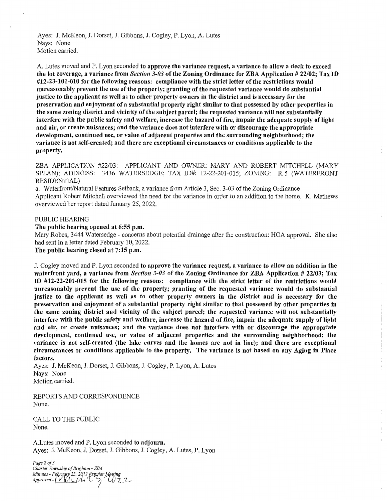Ayes: J. McKeon, J. Dorset, J. Gibbons, J. Cogley, P. Lyon, A. Lutes Nays: None Motion carried.

A. Lutes moved and P. Lyon seconded to approve the variance request, a variance to allow a deck to exceed the lot coverage, a variance from *Section 3-03* of the Zoning Ordinance for ZBA Application # 22/02; Tax ID #12-23-101-010 for the following reasons: compliance with the strict letter of the restrictions would unreasonably prevent the use of the property; granting of the requested variance would do substantial justice to the applicant as well as to other property owners in the district and is necessary for the preservation and enjoyment of a substantial property right similar to that possessed by other properties in the same zoning district and vicinity of the subject parcel; the requested variance will not substantially interfere with the public safety and welfare, increase the hazard of fire, impair the adequate supply of light and air, or create nuisances; and the variance does not interfere with or discourage the appropriate development, continued use, or value of adjacent properties and the surrounding neighborhood; the variance is not self-created; and there are exceptional circumstances or conditions applicable to the property.

ZBA APPLICATION #22/03: APPLICANT AND OWNER: MARY AND ROBERT MITCHELL (MARY SPLAN); ADDRESS: 3436 WATERSEDGE; TAX ID#: 12-22-201-015; ZONING: R-5 (WATERFRONT RESIDENTIAL)

a. Waterfront/Natural Features Setback, a variance from Article 3, Sec. 3-03 of the Zoning Ordinance Applicant Robert Mitchell overviewed the need for the variance in order to an addition to the home. K. Mathews overviewed her report dated January 25, 2022.

### PUBLIC HEARING

The public hearing opened at 6:55 p.m.

Mary Robes, 3444 Watersedge - concerns about potential drainage after the construction: HOA approval. She also had sent in a letter dated February 10, 2022.

The public hearing closed at 7:15 p.m.

J. Cogley moved and P. Lyon seconded to approve the variance request, a variance to allow an addition in the waterfront yard, a variance from *Section 3-03* of the Zoning Ordinance for ZBA Application # 22/03; Tax ID #12-22-201-015 for the following reasons: compliance with the strict letter of the restrictions would unreasonably prevent the use of the property; granting of the requested variance would do substantial justice to the applicant as well as to other property owners in the district and is necessary for the preservation and enjoyment of a substantial property right similar to that possessed by other properties in the same zoning district and vicinity of the subject parcel; the requested variance will not substantially interfere with the public safety and welfare, increase the hazard of fire, impair the adequate supply of light and air, or create nuisances; and the variance does not interfere with or discourage the appropriate development, continued use, or value of adjacent properties and the surrounding neighborhood; the variance is not self-created (the lake curves and the homes are not in line); and there are exceptional circumstances or conditions applicable to the property. The variance is not based on any Aging in Place factors.

Ayes: J. McKeon, J. Dorset, J. Gibbons, J. Cogley, P. Lyon, A. Lutes Nays: None Motion carried.

REPORTS AND CORRESPONDENCE None.

CALL TO THE PUBLIC None.

A.Lutes moved and P. Lyon seconded to adjourn. Ayes: J. McKeon, J. Dorset, J. Gibbons, J. Cogley, A. Lutes, P. Lyon

*Page 2 of 3 Charter Township of Brighton - ZBA Minutes - February 23, 2022 Regylar Meeting<br>Approved - MULAC 3, U7*